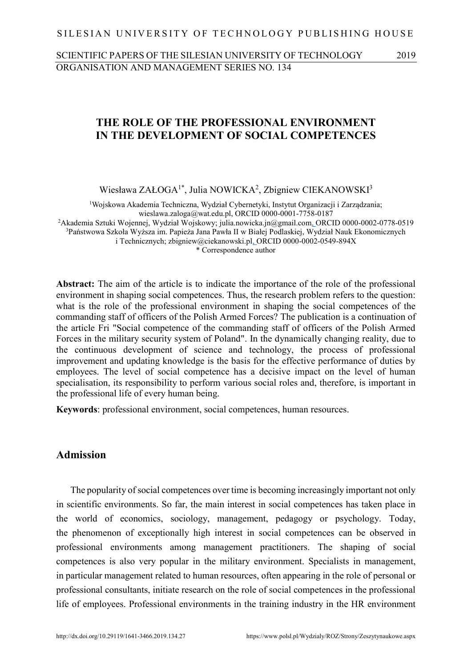SILESIAN UNIVERSITY OF TECHNOLOGY PUBLISHING HOUSE

SCIENTIFIC PAPERS OF THE SILESIAN UNIVERSITY OF TECHNOLOGY 2019 ORGANISATION AND MANAGEMENT SERIES NO. 134

## **THE ROLE OF THE PROFESSIONAL ENVIRONMENT IN THE DEVELOPMENT OF SOCIAL COMPETENCES**

Wiesława ZAŁOGA<sup>1\*</sup>, Julia NOWICKA<sup>2</sup>, Zbigniew CIEKANOWSKI<sup>3</sup>

<sup>1</sup>Wojskowa Akademia Techniczna, Wydział Cybernetyki, Instytut Organizacji i Zarządzania; wieslawa.zaloga@wat.edu.pl, ORCID 0000-0001-7758-0187 <sup>2</sup>Akademia Sztuki Wojennej, Wydział Wojskowy; julia.nowicka.jn@gmail.com, ORCID 0000-0002-0778-0519 <sup>3</sup>Państwowa Szkoła Wyższa im. Papieża Jana Pawła II w Białej Podlaskiej, Wydział Nauk Ekonomicznych i Technicznych; zbigniew@ciekanowski.pl, ORCID 0000-0002-0549-894X \* Correspondence author

**Abstract:** The aim of the article is to indicate the importance of the role of the professional environment in shaping social competences. Thus, the research problem refers to the question: what is the role of the professional environment in shaping the social competences of the commanding staff of officers of the Polish Armed Forces? The publication is a continuation of the article Fri "Social competence of the commanding staff of officers of the Polish Armed Forces in the military security system of Poland". In the dynamically changing reality, due to the continuous development of science and technology, the process of professional improvement and updating knowledge is the basis for the effective performance of duties by employees. The level of social competence has a decisive impact on the level of human specialisation, its responsibility to perform various social roles and, therefore, is important in the professional life of every human being.

**Keywords**: professional environment, social competences, human resources.

### **Admission**

The popularity of social competences over time is becoming increasingly important not only in scientific environments. So far, the main interest in social competences has taken place in the world of economics, sociology, management, pedagogy or psychology. Today, the phenomenon of exceptionally high interest in social competences can be observed in professional environments among management practitioners. The shaping of social competences is also very popular in the military environment. Specialists in management, in particular management related to human resources, often appearing in the role of personal or professional consultants, initiate research on the role of social competences in the professional life of employees. Professional environments in the training industry in the HR environment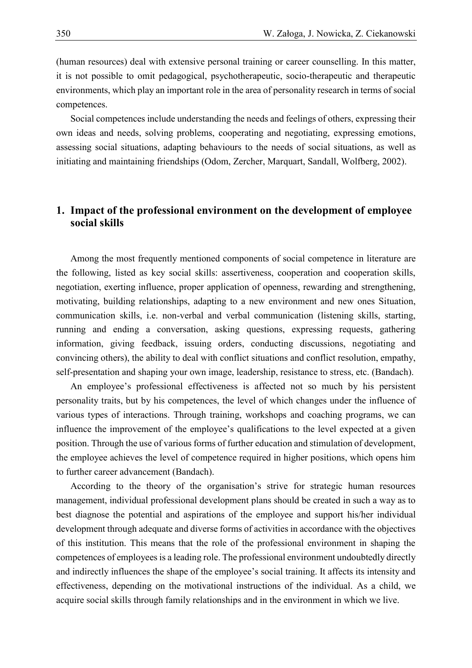(human resources) deal with extensive personal training or career counselling. In this matter, it is not possible to omit pedagogical, psychotherapeutic, socio-therapeutic and therapeutic environments, which play an important role in the area of personality research in terms of social competences.

Social competences include understanding the needs and feelings of others, expressing their own ideas and needs, solving problems, cooperating and negotiating, expressing emotions, assessing social situations, adapting behaviours to the needs of social situations, as well as initiating and maintaining friendships (Odom, Zercher, Marquart, Sandall, Wolfberg, 2002).

# **1. Impact of the professional environment on the development of employee social skills**

Among the most frequently mentioned components of social competence in literature are the following, listed as key social skills: assertiveness, cooperation and cooperation skills, negotiation, exerting influence, proper application of openness, rewarding and strengthening, motivating, building relationships, adapting to a new environment and new ones Situation, communication skills, i.e. non-verbal and verbal communication (listening skills, starting, running and ending a conversation, asking questions, expressing requests, gathering information, giving feedback, issuing orders, conducting discussions, negotiating and convincing others), the ability to deal with conflict situations and conflict resolution, empathy, self-presentation and shaping your own image, leadership, resistance to stress, etc. (Bandach).

An employee's professional effectiveness is affected not so much by his persistent personality traits, but by his competences, the level of which changes under the influence of various types of interactions. Through training, workshops and coaching programs, we can influence the improvement of the employee's qualifications to the level expected at a given position. Through the use of various forms of further education and stimulation of development, the employee achieves the level of competence required in higher positions, which opens him to further career advancement (Bandach).

According to the theory of the organisation's strive for strategic human resources management, individual professional development plans should be created in such a way as to best diagnose the potential and aspirations of the employee and support his/her individual development through adequate and diverse forms of activities in accordance with the objectives of this institution. This means that the role of the professional environment in shaping the competences of employees is a leading role. The professional environment undoubtedly directly and indirectly influences the shape of the employee's social training. It affects its intensity and effectiveness, depending on the motivational instructions of the individual. As a child, we acquire social skills through family relationships and in the environment in which we live.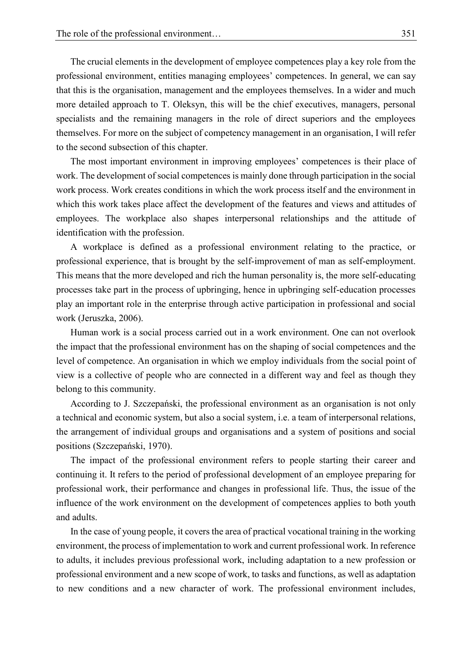The crucial elements in the development of employee competences play a key role from the professional environment, entities managing employees' competences. In general, we can say that this is the organisation, management and the employees themselves. In a wider and much more detailed approach to T. Oleksyn, this will be the chief executives, managers, personal specialists and the remaining managers in the role of direct superiors and the employees themselves. For more on the subject of competency management in an organisation, I will refer to the second subsection of this chapter.

The most important environment in improving employees' competences is their place of work. The development of social competences is mainly done through participation in the social work process. Work creates conditions in which the work process itself and the environment in which this work takes place affect the development of the features and views and attitudes of employees. The workplace also shapes interpersonal relationships and the attitude of identification with the profession.

A workplace is defined as a professional environment relating to the practice, or professional experience, that is brought by the self-improvement of man as self-employment. This means that the more developed and rich the human personality is, the more self-educating processes take part in the process of upbringing, hence in upbringing self-education processes play an important role in the enterprise through active participation in professional and social work (Jeruszka, 2006).

Human work is a social process carried out in a work environment. One can not overlook the impact that the professional environment has on the shaping of social competences and the level of competence. An organisation in which we employ individuals from the social point of view is a collective of people who are connected in a different way and feel as though they belong to this community.

According to J. Szczepański, the professional environment as an organisation is not only a technical and economic system, but also a social system, i.e. a team of interpersonal relations, the arrangement of individual groups and organisations and a system of positions and social positions (Szczepański, 1970).

The impact of the professional environment refers to people starting their career and continuing it. It refers to the period of professional development of an employee preparing for professional work, their performance and changes in professional life. Thus, the issue of the influence of the work environment on the development of competences applies to both youth and adults.

In the case of young people, it covers the area of practical vocational training in the working environment, the process of implementation to work and current professional work. In reference to adults, it includes previous professional work, including adaptation to a new profession or professional environment and a new scope of work, to tasks and functions, as well as adaptation to new conditions and a new character of work. The professional environment includes,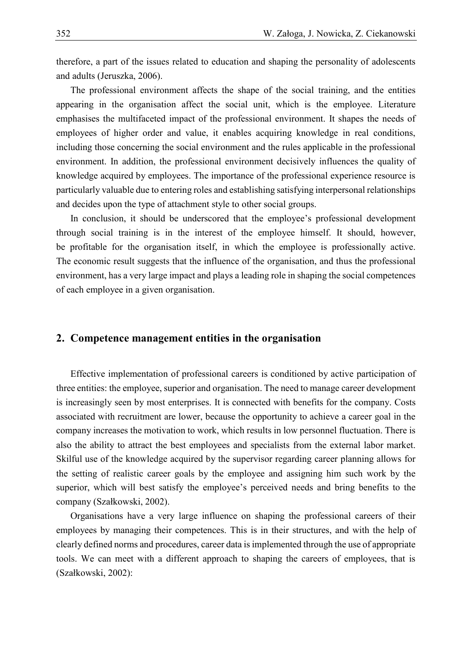therefore, a part of the issues related to education and shaping the personality of adolescents and adults (Jeruszka, 2006).

The professional environment affects the shape of the social training, and the entities appearing in the organisation affect the social unit, which is the employee. Literature emphasises the multifaceted impact of the professional environment. It shapes the needs of employees of higher order and value, it enables acquiring knowledge in real conditions, including those concerning the social environment and the rules applicable in the professional environment. In addition, the professional environment decisively influences the quality of knowledge acquired by employees. The importance of the professional experience resource is particularly valuable due to entering roles and establishing satisfying interpersonal relationships and decides upon the type of attachment style to other social groups.

In conclusion, it should be underscored that the employee's professional development through social training is in the interest of the employee himself. It should, however, be profitable for the organisation itself, in which the employee is professionally active. The economic result suggests that the influence of the organisation, and thus the professional environment, has a very large impact and plays a leading role in shaping the social competences of each employee in a given organisation.

### **2. Competence management entities in the organisation**

Effective implementation of professional careers is conditioned by active participation of three entities: the employee, superior and organisation. The need to manage career development is increasingly seen by most enterprises. It is connected with benefits for the company. Costs associated with recruitment are lower, because the opportunity to achieve a career goal in the company increases the motivation to work, which results in low personnel fluctuation. There is also the ability to attract the best employees and specialists from the external labor market. Skilful use of the knowledge acquired by the supervisor regarding career planning allows for the setting of realistic career goals by the employee and assigning him such work by the superior, which will best satisfy the employee's perceived needs and bring benefits to the company (Szałkowski, 2002).

Organisations have a very large influence on shaping the professional careers of their employees by managing their competences. This is in their structures, and with the help of clearly defined norms and procedures, career data is implemented through the use of appropriate tools. We can meet with a different approach to shaping the careers of employees, that is (Szałkowski, 2002):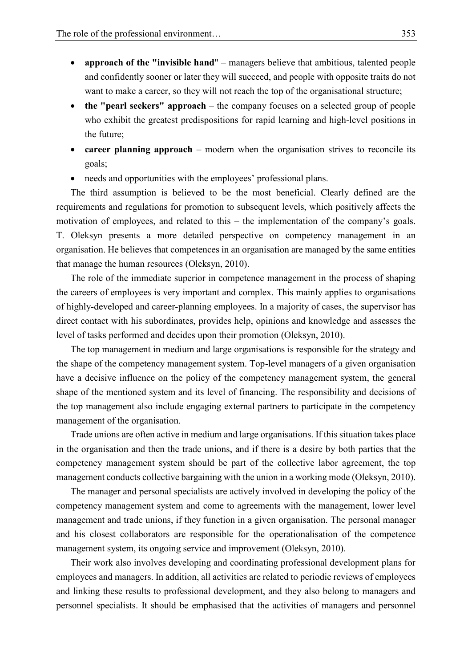- **approach of the "invisible hand**" managers believe that ambitious, talented people and confidently sooner or later they will succeed, and people with opposite traits do not want to make a career, so they will not reach the top of the organisational structure;
- **the "pearl seekers" approach** the company focuses on a selected group of people who exhibit the greatest predispositions for rapid learning and high-level positions in the future;
- **career planning approach** modern when the organisation strives to reconcile its goals;
- needs and opportunities with the employees' professional plans.

The third assumption is believed to be the most beneficial. Clearly defined are the requirements and regulations for promotion to subsequent levels, which positively affects the motivation of employees, and related to this – the implementation of the company's goals. T. Oleksyn presents a more detailed perspective on competency management in an organisation. He believes that competences in an organisation are managed by the same entities that manage the human resources (Oleksyn, 2010).

The role of the immediate superior in competence management in the process of shaping the careers of employees is very important and complex. This mainly applies to organisations of highly-developed and career-planning employees. In a majority of cases, the supervisor has direct contact with his subordinates, provides help, opinions and knowledge and assesses the level of tasks performed and decides upon their promotion (Oleksyn, 2010).

The top management in medium and large organisations is responsible for the strategy and the shape of the competency management system. Top-level managers of a given organisation have a decisive influence on the policy of the competency management system, the general shape of the mentioned system and its level of financing. The responsibility and decisions of the top management also include engaging external partners to participate in the competency management of the organisation.

Trade unions are often active in medium and large organisations. If this situation takes place in the organisation and then the trade unions, and if there is a desire by both parties that the competency management system should be part of the collective labor agreement, the top management conducts collective bargaining with the union in a working mode (Oleksyn, 2010).

The manager and personal specialists are actively involved in developing the policy of the competency management system and come to agreements with the management, lower level management and trade unions, if they function in a given organisation. The personal manager and his closest collaborators are responsible for the operationalisation of the competence management system, its ongoing service and improvement (Oleksyn, 2010).

Their work also involves developing and coordinating professional development plans for employees and managers. In addition, all activities are related to periodic reviews of employees and linking these results to professional development, and they also belong to managers and personnel specialists. It should be emphasised that the activities of managers and personnel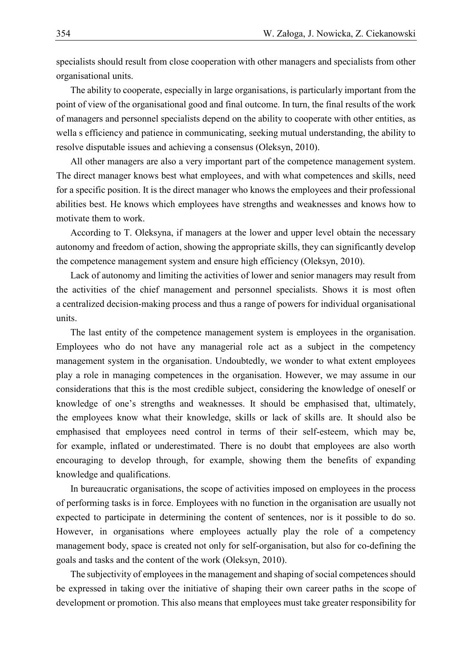specialists should result from close cooperation with other managers and specialists from other organisational units.

The ability to cooperate, especially in large organisations, is particularly important from the point of view of the organisational good and final outcome. In turn, the final results of the work of managers and personnel specialists depend on the ability to cooperate with other entities, as wella s efficiency and patience in communicating, seeking mutual understanding, the ability to resolve disputable issues and achieving a consensus (Oleksyn, 2010).

All other managers are also a very important part of the competence management system. The direct manager knows best what employees, and with what competences and skills, need for a specific position. It is the direct manager who knows the employees and their professional abilities best. He knows which employees have strengths and weaknesses and knows how to motivate them to work.

According to T. Oleksyna, if managers at the lower and upper level obtain the necessary autonomy and freedom of action, showing the appropriate skills, they can significantly develop the competence management system and ensure high efficiency (Oleksyn, 2010).

Lack of autonomy and limiting the activities of lower and senior managers may result from the activities of the chief management and personnel specialists. Shows it is most often a centralized decision-making process and thus a range of powers for individual organisational units.

The last entity of the competence management system is employees in the organisation. Employees who do not have any managerial role act as a subject in the competency management system in the organisation. Undoubtedly, we wonder to what extent employees play a role in managing competences in the organisation. However, we may assume in our considerations that this is the most credible subject, considering the knowledge of oneself or knowledge of one's strengths and weaknesses. It should be emphasised that, ultimately, the employees know what their knowledge, skills or lack of skills are. It should also be emphasised that employees need control in terms of their self-esteem, which may be, for example, inflated or underestimated. There is no doubt that employees are also worth encouraging to develop through, for example, showing them the benefits of expanding knowledge and qualifications.

In bureaucratic organisations, the scope of activities imposed on employees in the process of performing tasks is in force. Employees with no function in the organisation are usually not expected to participate in determining the content of sentences, nor is it possible to do so. However, in organisations where employees actually play the role of a competency management body, space is created not only for self-organisation, but also for co-defining the goals and tasks and the content of the work (Oleksyn, 2010).

The subjectivity of employees in the management and shaping of social competences should be expressed in taking over the initiative of shaping their own career paths in the scope of development or promotion. This also means that employees must take greater responsibility for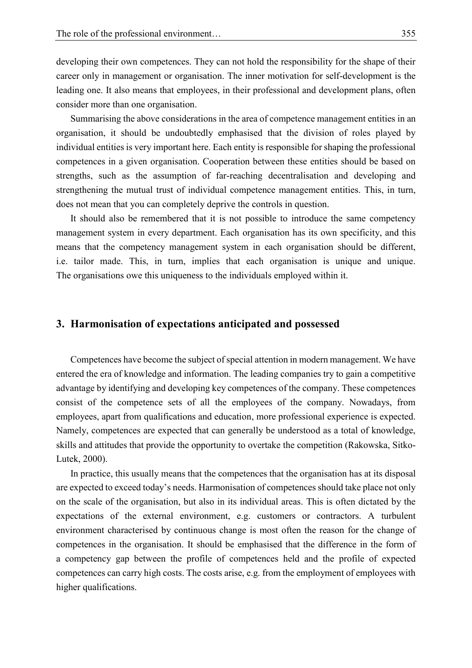developing their own competences. They can not hold the responsibility for the shape of their career only in management or organisation. The inner motivation for self-development is the leading one. It also means that employees, in their professional and development plans, often consider more than one organisation.

Summarising the above considerations in the area of competence management entities in an organisation, it should be undoubtedly emphasised that the division of roles played by individual entities is very important here. Each entity is responsible for shaping the professional competences in a given organisation. Cooperation between these entities should be based on strengths, such as the assumption of far-reaching decentralisation and developing and strengthening the mutual trust of individual competence management entities. This, in turn, does not mean that you can completely deprive the controls in question.

It should also be remembered that it is not possible to introduce the same competency management system in every department. Each organisation has its own specificity, and this means that the competency management system in each organisation should be different, i.e. tailor made. This, in turn, implies that each organisation is unique and unique. The organisations owe this uniqueness to the individuals employed within it.

#### **3. Harmonisation of expectations anticipated and possessed**

Competences have become the subject of special attention in modern management. We have entered the era of knowledge and information. The leading companies try to gain a competitive advantage by identifying and developing key competences of the company. These competences consist of the competence sets of all the employees of the company. Nowadays, from employees, apart from qualifications and education, more professional experience is expected. Namely, competences are expected that can generally be understood as a total of knowledge, skills and attitudes that provide the opportunity to overtake the competition (Rakowska, Sitko-Lutek, 2000).

In practice, this usually means that the competences that the organisation has at its disposal are expected to exceed today's needs. Harmonisation of competences should take place not only on the scale of the organisation, but also in its individual areas. This is often dictated by the expectations of the external environment, e.g. customers or contractors. A turbulent environment characterised by continuous change is most often the reason for the change of competences in the organisation. It should be emphasised that the difference in the form of a competency gap between the profile of competences held and the profile of expected competences can carry high costs. The costs arise, e.g. from the employment of employees with higher qualifications.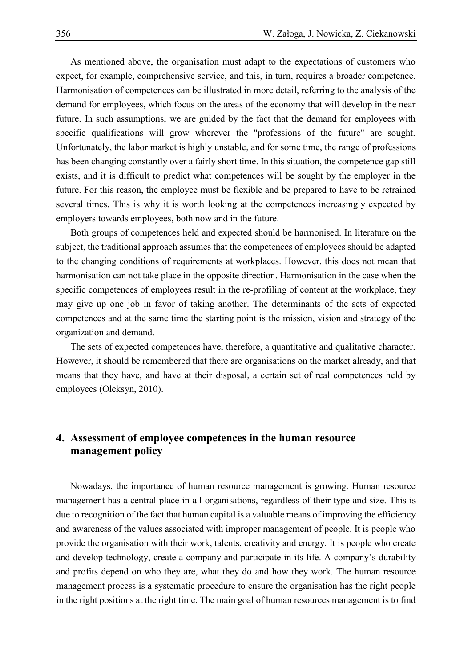As mentioned above, the organisation must adapt to the expectations of customers who expect, for example, comprehensive service, and this, in turn, requires a broader competence. Harmonisation of competences can be illustrated in more detail, referring to the analysis of the demand for employees, which focus on the areas of the economy that will develop in the near future. In such assumptions, we are guided by the fact that the demand for employees with specific qualifications will grow wherever the "professions of the future" are sought. Unfortunately, the labor market is highly unstable, and for some time, the range of professions has been changing constantly over a fairly short time. In this situation, the competence gap still exists, and it is difficult to predict what competences will be sought by the employer in the future. For this reason, the employee must be flexible and be prepared to have to be retrained several times. This is why it is worth looking at the competences increasingly expected by employers towards employees, both now and in the future.

Both groups of competences held and expected should be harmonised. In literature on the subject, the traditional approach assumes that the competences of employees should be adapted to the changing conditions of requirements at workplaces. However, this does not mean that harmonisation can not take place in the opposite direction. Harmonisation in the case when the specific competences of employees result in the re-profiling of content at the workplace, they may give up one job in favor of taking another. The determinants of the sets of expected competences and at the same time the starting point is the mission, vision and strategy of the organization and demand.

The sets of expected competences have, therefore, a quantitative and qualitative character. However, it should be remembered that there are organisations on the market already, and that means that they have, and have at their disposal, a certain set of real competences held by employees (Oleksyn, 2010).

# **4. Assessment of employee competences in the human resource management policy**

Nowadays, the importance of human resource management is growing. Human resource management has a central place in all organisations, regardless of their type and size. This is due to recognition of the fact that human capital is a valuable means of improving the efficiency and awareness of the values associated with improper management of people. It is people who provide the organisation with their work, talents, creativity and energy. It is people who create and develop technology, create a company and participate in its life. A company's durability and profits depend on who they are, what they do and how they work. The human resource management process is a systematic procedure to ensure the organisation has the right people in the right positions at the right time. The main goal of human resources management is to find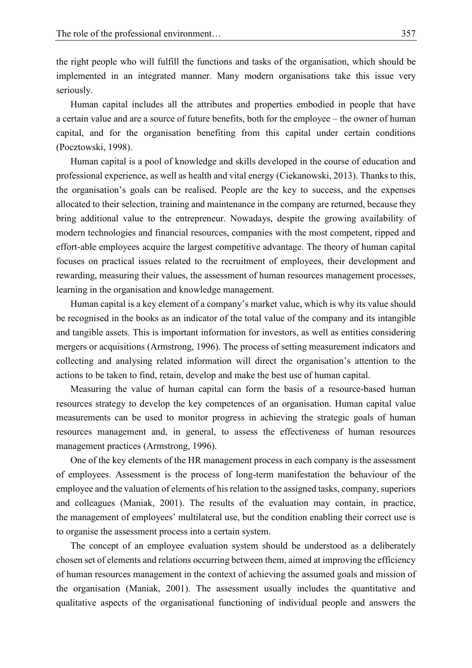the right people who will fulfill the functions and tasks of the organisation, which should be implemented in an integrated manner. Many modern organisations take this issue very seriously.

Human capital includes all the attributes and properties embodied in people that have a certain value and are a source of future benefits, both for the employee – the owner of human capital, and for the organisation benefiting from this capital under certain conditions (Pocztowski, 1998).

Human capital is a pool of knowledge and skills developed in the course of education and professional experience, as well as health and vital energy (Ciekanowski, 2013). Thanks to this, the organisation's goals can be realised. People are the key to success, and the expenses allocated to their selection, training and maintenance in the company are returned, because they bring additional value to the entrepreneur. Nowadays, despite the growing availability of modern technologies and financial resources, companies with the most competent, ripped and effort-able employees acquire the largest competitive advantage. The theory of human capital focuses on practical issues related to the recruitment of employees, their development and rewarding, measuring their values, the assessment of human resources management processes, learning in the organisation and knowledge management.

Human capital is a key element of a company's market value, which is why its value should be recognised in the books as an indicator of the total value of the company and its intangible and tangible assets. This is important information for investors, as well as entities considering mergers or acquisitions (Armstrong, 1996). The process of setting measurement indicators and collecting and analysing related information will direct the organisation's attention to the actions to be taken to find, retain, develop and make the best use of human capital.

Measuring the value of human capital can form the basis of a resource-based human resources strategy to develop the key competences of an organisation. Human capital value measurements can be used to monitor progress in achieving the strategic goals of human resources management and, in general, to assess the effectiveness of human resources management practices (Armstrong, 1996).

One of the key elements of the HR management process in each company is the assessment of employees. Assessment is the process of long-term manifestation the behaviour of the employee and the valuation of elements of his relation to the assigned tasks, company, superiors and colleagues (Maniak, 2001). The results of the evaluation may contain, in practice, the management of employees' multilateral use, but the condition enabling their correct use is to organise the assessment process into a certain system.

The concept of an employee evaluation system should be understood as a deliberately chosen set of elements and relations occurring between them, aimed at improving the efficiency of human resources management in the context of achieving the assumed goals and mission of the organisation (Maniak, 2001). The assessment usually includes the quantitative and qualitative aspects of the organisational functioning of individual people and answers the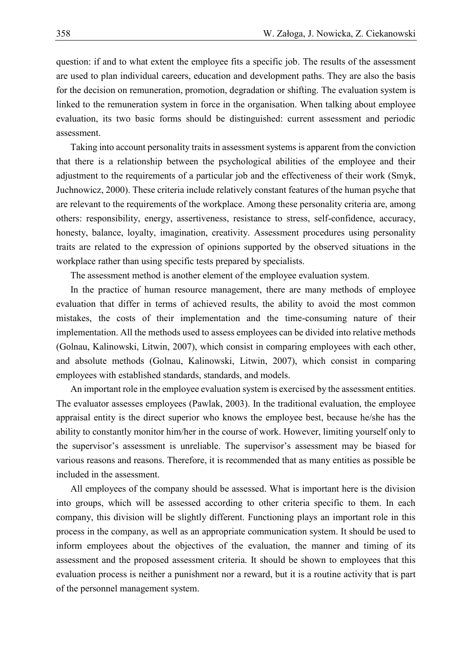question: if and to what extent the employee fits a specific job. The results of the assessment are used to plan individual careers, education and development paths. They are also the basis for the decision on remuneration, promotion, degradation or shifting. The evaluation system is linked to the remuneration system in force in the organisation. When talking about employee evaluation, its two basic forms should be distinguished: current assessment and periodic assessment.

Taking into account personality traits in assessment systems is apparent from the conviction that there is a relationship between the psychological abilities of the employee and their adjustment to the requirements of a particular job and the effectiveness of their work (Smyk, Juchnowicz, 2000). These criteria include relatively constant features of the human psyche that are relevant to the requirements of the workplace. Among these personality criteria are, among others: responsibility, energy, assertiveness, resistance to stress, self-confidence, accuracy, honesty, balance, loyalty, imagination, creativity. Assessment procedures using personality traits are related to the expression of opinions supported by the observed situations in the workplace rather than using specific tests prepared by specialists.

The assessment method is another element of the employee evaluation system.

In the practice of human resource management, there are many methods of employee evaluation that differ in terms of achieved results, the ability to avoid the most common mistakes, the costs of their implementation and the time-consuming nature of their implementation. All the methods used to assess employees can be divided into relative methods (Golnau, Kalinowski, Litwin, 2007), which consist in comparing employees with each other, and absolute methods (Golnau, Kalinowski, Litwin, 2007), which consist in comparing employees with established standards, standards, and models.

An important role in the employee evaluation system is exercised by the assessment entities. The evaluator assesses employees (Pawlak, 2003). In the traditional evaluation, the employee appraisal entity is the direct superior who knows the employee best, because he/she has the ability to constantly monitor him/her in the course of work. However, limiting yourself only to the supervisor's assessment is unreliable. The supervisor's assessment may be biased for various reasons and reasons. Therefore, it is recommended that as many entities as possible be included in the assessment.

All employees of the company should be assessed. What is important here is the division into groups, which will be assessed according to other criteria specific to them. In each company, this division will be slightly different. Functioning plays an important role in this process in the company, as well as an appropriate communication system. It should be used to inform employees about the objectives of the evaluation, the manner and timing of its assessment and the proposed assessment criteria. It should be shown to employees that this evaluation process is neither a punishment nor a reward, but it is a routine activity that is part of the personnel management system.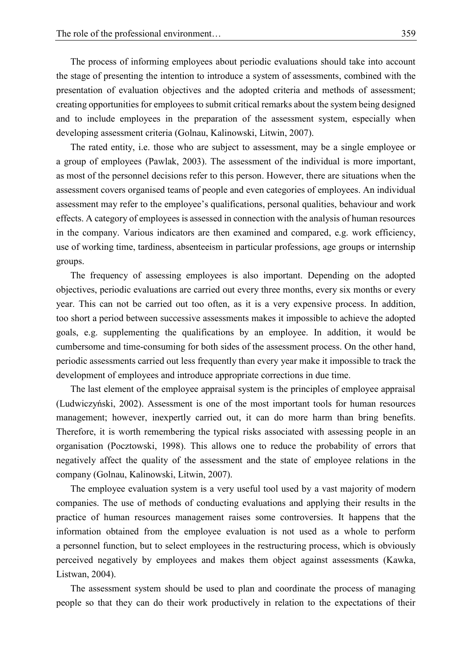The process of informing employees about periodic evaluations should take into account the stage of presenting the intention to introduce a system of assessments, combined with the presentation of evaluation objectives and the adopted criteria and methods of assessment; creating opportunities for employees to submit critical remarks about the system being designed and to include employees in the preparation of the assessment system, especially when developing assessment criteria (Golnau, Kalinowski, Litwin, 2007).

The rated entity, i.e. those who are subject to assessment, may be a single employee or a group of employees (Pawlak, 2003). The assessment of the individual is more important, as most of the personnel decisions refer to this person. However, there are situations when the assessment covers organised teams of people and even categories of employees. An individual assessment may refer to the employee's qualifications, personal qualities, behaviour and work effects. A category of employees is assessed in connection with the analysis of human resources in the company. Various indicators are then examined and compared, e.g. work efficiency, use of working time, tardiness, absenteeism in particular professions, age groups or internship groups.

The frequency of assessing employees is also important. Depending on the adopted objectives, periodic evaluations are carried out every three months, every six months or every year. This can not be carried out too often, as it is a very expensive process. In addition, too short a period between successive assessments makes it impossible to achieve the adopted goals, e.g. supplementing the qualifications by an employee. In addition, it would be cumbersome and time-consuming for both sides of the assessment process. On the other hand, periodic assessments carried out less frequently than every year make it impossible to track the development of employees and introduce appropriate corrections in due time.

The last element of the employee appraisal system is the principles of employee appraisal (Ludwiczyński, 2002). Assessment is one of the most important tools for human resources management; however, inexpertly carried out, it can do more harm than bring benefits. Therefore, it is worth remembering the typical risks associated with assessing people in an organisation (Pocztowski, 1998). This allows one to reduce the probability of errors that negatively affect the quality of the assessment and the state of employee relations in the company (Golnau, Kalinowski, Litwin, 2007).

The employee evaluation system is a very useful tool used by a vast majority of modern companies. The use of methods of conducting evaluations and applying their results in the practice of human resources management raises some controversies. It happens that the information obtained from the employee evaluation is not used as a whole to perform a personnel function, but to select employees in the restructuring process, which is obviously perceived negatively by employees and makes them object against assessments (Kawka, Listwan, 2004).

The assessment system should be used to plan and coordinate the process of managing people so that they can do their work productively in relation to the expectations of their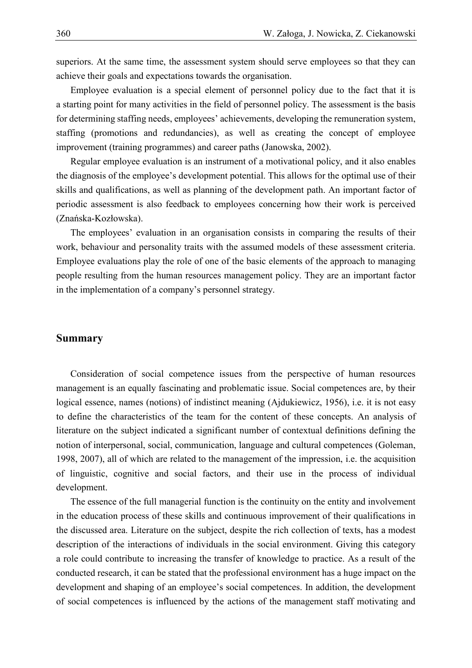superiors. At the same time, the assessment system should serve employees so that they can achieve their goals and expectations towards the organisation.

Employee evaluation is a special element of personnel policy due to the fact that it is a starting point for many activities in the field of personnel policy. The assessment is the basis for determining staffing needs, employees' achievements, developing the remuneration system, staffing (promotions and redundancies), as well as creating the concept of employee improvement (training programmes) and career paths (Janowska, 2002).

Regular employee evaluation is an instrument of a motivational policy, and it also enables the diagnosis of the employee's development potential. This allows for the optimal use of their skills and qualifications, as well as planning of the development path. An important factor of periodic assessment is also feedback to employees concerning how their work is perceived (Znańska-Kozłowska).

The employees' evaluation in an organisation consists in comparing the results of their work, behaviour and personality traits with the assumed models of these assessment criteria. Employee evaluations play the role of one of the basic elements of the approach to managing people resulting from the human resources management policy. They are an important factor in the implementation of a company's personnel strategy.

#### **Summary**

Consideration of social competence issues from the perspective of human resources management is an equally fascinating and problematic issue. Social competences are, by their logical essence, names (notions) of indistinct meaning (Ajdukiewicz, 1956), i.e. it is not easy to define the characteristics of the team for the content of these concepts. An analysis of literature on the subject indicated a significant number of contextual definitions defining the notion of interpersonal, social, communication, language and cultural competences (Goleman, 1998, 2007), all of which are related to the management of the impression, i.e. the acquisition of linguistic, cognitive and social factors, and their use in the process of individual development.

The essence of the full managerial function is the continuity on the entity and involvement in the education process of these skills and continuous improvement of their qualifications in the discussed area. Literature on the subject, despite the rich collection of texts, has a modest description of the interactions of individuals in the social environment. Giving this category a role could contribute to increasing the transfer of knowledge to practice. As a result of the conducted research, it can be stated that the professional environment has a huge impact on the development and shaping of an employee's social competences. In addition, the development of social competences is influenced by the actions of the management staff motivating and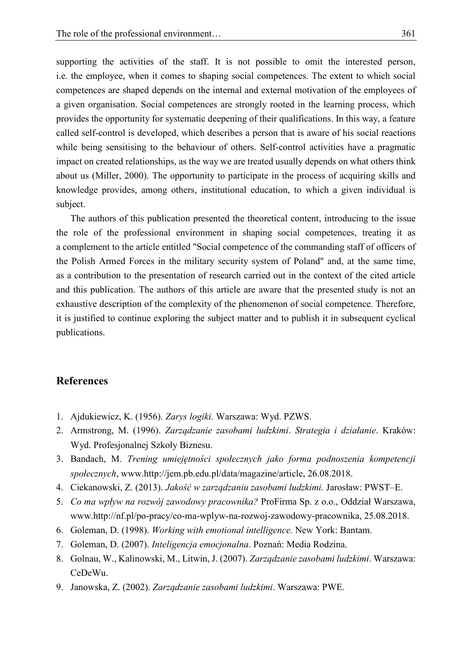supporting the activities of the staff. It is not possible to omit the interested person, i.e. the employee, when it comes to shaping social competences. The extent to which social competences are shaped depends on the internal and external motivation of the employees of a given organisation. Social competences are strongly rooted in the learning process, which provides the opportunity for systematic deepening of their qualifications. In this way, a feature called self-control is developed, which describes a person that is aware of his social reactions while being sensitising to the behaviour of others. Self-control activities have a pragmatic impact on created relationships, as the way we are treated usually depends on what others think about us (Miller, 2000). The opportunity to participate in the process of acquiring skills and knowledge provides, among others, institutional education, to which a given individual is subject.

The authors of this publication presented the theoretical content, introducing to the issue the role of the professional environment in shaping social competences, treating it as a complement to the article entitled "Social competence of the commanding staff of officers of the Polish Armed Forces in the military security system of Poland" and, at the same time, as a contribution to the presentation of research carried out in the context of the cited article and this publication. The authors of this article are aware that the presented study is not an exhaustive description of the complexity of the phenomenon of social competence. Therefore, it is justified to continue exploring the subject matter and to publish it in subsequent cyclical publications.

## **References**

- 1. Ajdukiewicz, K. (1956). *Zarys logiki.* Warszawa: Wyd. PZWS.
- 2. Armstrong, M. (1996). *Zarządzanie zasobami ludzkimi*. *Strategia i działanie*. Kraków: Wyd. Profesjonalnej Szkoły Biznesu.
- 3. Bandach, M. *Trening umiejętności społecznych jako forma podnoszenia kompetencji społecznych*, www.http://jem.pb.edu.pl/data/magazine/article, 26.08.2018.
- 4. Ciekanowski, Z. (2013). *Jakość w zarządzaniu zasobami ludzkimi.* Jarosław: PWST–E.
- 5. *Co ma wpływ na rozwój zawodowy pracownika?* ProFirma Sp. z o.o., Oddział Warszawa, www.http://nf.pl/po-pracy/co-ma-wplyw-na-rozwoj-zawodowy-pracownika, 25.08.2018.
- 6. Goleman, D. (1998). *Working with emotional intelligence.* New York: Bantam.
- 7. Goleman, D. (2007). *Inteligencja emocjonalna*. Poznań: Media Rodzina.
- 8. Golnau, W., Kalinowski, M., Litwin, J. (2007). *Zarządzanie zasobami ludzkimi*. Warszawa: CeDeWu.
- 9. Janowska, Z. (2002). *Zarządzanie zasobami ludzkimi*. Warszawa: PWE.